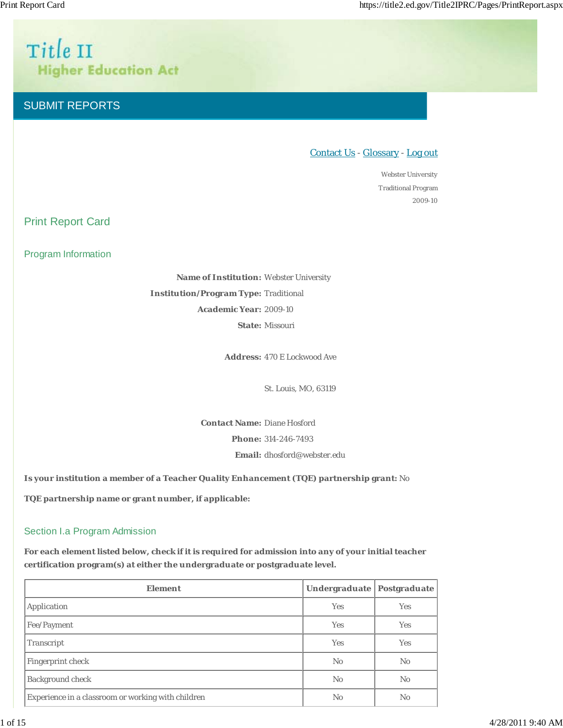# Title II **Higher Education Act**

# SUBMIT REPORTS

# Contact Us - Glossary - Log out

Webster University Traditional Program 2009-10

Print Report Card

Program Information

**Name of Institution:** Webster University **Institution/Program Type:** Traditional **Academic Year:** 2009-10 **State:** Missouri

**Address:** 470 E Lockwood Ave

St. Louis, MO, 63119

**Contact Name:** Diane Hosford **Phone:** 314-246-7493

**Email:** dhosford@webster.edu

**Is your institution a member of a Teacher Quality Enhancement (TQE) partnership grant:** No

**TQE partnership name or grant number, if applicable:**

# Section I.a Program Admission

**For each element listed below, check if it is required for admission into any of your initial teacher certification program(s) at either the undergraduate or postgraduate level.**

| <b>Element</b>                                     | <b>Undergraduate</b> | Postgraduate   |
|----------------------------------------------------|----------------------|----------------|
| Application                                        | <b>Yes</b>           | <b>Yes</b>     |
| Fee/Payment                                        | <b>Yes</b>           | <b>Yes</b>     |
| Transcript                                         | <b>Yes</b>           | <b>Yes</b>     |
| Fingerprint check                                  | No                   | No             |
| <b>Background check</b>                            | N <sub>0</sub>       | N <sub>0</sub> |
| Experience in a classroom or working with children | N <sub>0</sub>       | N <sub>0</sub> |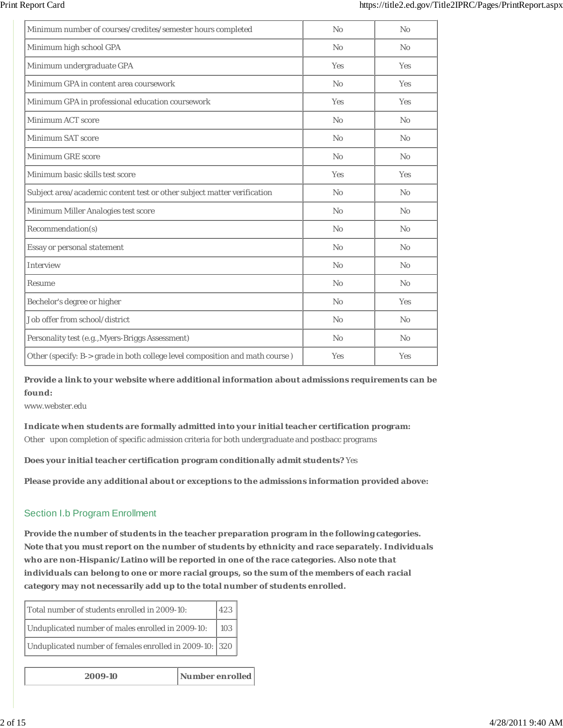| Minimum number of courses/credites/semester hours completed                  | No             | No             |
|------------------------------------------------------------------------------|----------------|----------------|
| Minimum high school GPA                                                      | No             | No             |
| Minimum undergraduate GPA                                                    | Yes            | Yes            |
| Minimum GPA in content area coursework                                       | No             | <b>Yes</b>     |
| Minimum GPA in professional education coursework                             | Yes            | Yes            |
| Minimum ACT score                                                            | N <sub>0</sub> | No             |
| <b>Minimum SAT score</b>                                                     | No             | No             |
| <b>Minimum GRE score</b>                                                     | N <sub>0</sub> | No             |
| Minimum basic skills test score                                              | Yes            | Yes            |
| Subject area/academic content test or other subject matter verification      | No             | No             |
| Minimum Miller Analogies test score                                          | N <sub>0</sub> | No             |
| Recommendation(s)                                                            | No             | N <sub>0</sub> |
| Essay or personal statement                                                  | No             | No             |
| Interview                                                                    | N <sub>0</sub> | No             |
| Resume                                                                       | No             | No             |
| Bechelor's degree or higher                                                  | No             | <b>Yes</b>     |
| Job offer from school/district                                               | No             | No             |
| Personality test (e.g., Myers-Briggs Assessment)                             | No             | No             |
| Other (specify: B-> grade in both college level composition and math course) | Yes            | Yes            |

**Provide a link to your website where additional information about admissions requirements can be found:**

www.webster.edu

**Indicate when students are formally admitted into your initial teacher certification program:** Other upon completion of specific admission criteria for both undergraduate and postbacc programs

**Does your initial teacher certification program conditionally admit students?** Yes

**Please provide any additional about or exceptions to the admissions information provided above:**

### Section I.b Program Enrollment

**Provide the number of students in the teacher preparation program in the following categories. Note that you must report on the number of students by ethnicity and race separately. Individuals who are non-Hispanic/Latino will be reported in one of the race categories. Also note that individuals can belong to one or more racial groups, so the sum of the members of each racial category may not necessarily add up to the total number of students enrolled.**

| Total number of students enrolled in 2009-10:           | 1423         |
|---------------------------------------------------------|--------------|
| Unduplicated number of males enrolled in 2009-10:       | $\sqrt{103}$ |
| Unduplicated number of females enrolled in 2009-10: 320 |              |

**2009-10 Number enrolled**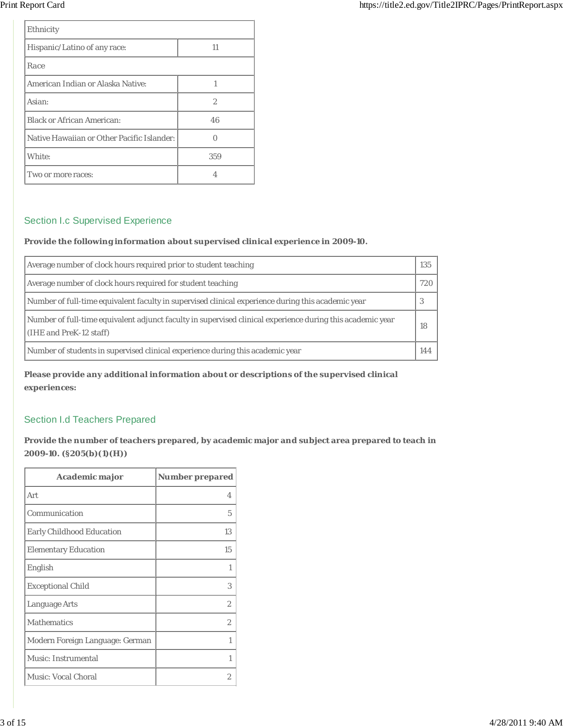| Ethnicity                                  |                |
|--------------------------------------------|----------------|
| Hispanic/Latino of any race:               | 11             |
| Race                                       |                |
| American Indian or Alaska Native:          | 1              |
| Asian:                                     | $\overline{2}$ |
| <b>Black or African American:</b>          | 46             |
| Native Hawaiian or Other Pacific Islander: |                |
| White:                                     | 359            |
| Two or more races:                         |                |

# Section I.c Supervised Experience

### **Provide the following information about supervised clinical experience in 2009-10.**

| Average number of clock hours required prior to student teaching                                                                      | 135 |
|---------------------------------------------------------------------------------------------------------------------------------------|-----|
| Average number of clock hours required for student teaching                                                                           | 720 |
| Number of full-time equivalent faculty in supervised clinical experience during this academic year                                    | 3   |
| Number of full-time equivalent adjunct faculty in supervised clinical experience during this academic year<br>(IHE and PreK-12 staff) | 18  |
| Number of students in supervised clinical experience during this academic year                                                        | 144 |

**Please provide any additional information about or descriptions of the supervised clinical experiences:**

# Section I.d Teachers Prepared

**Provide the number of teachers prepared, by academic major and subject area prepared to teach in 2009-10. (§205(b)(1)(H))**

| Academic major                   | <b>Number prepared</b> |
|----------------------------------|------------------------|
| Art                              | 4                      |
| Communication                    | 5                      |
| <b>Early Childhood Education</b> | 13                     |
| <b>Elementary Education</b>      | 15                     |
| English                          | 1                      |
| <b>Exceptional Child</b>         | 3                      |
| Language Arts                    | 2                      |
| <b>Mathematics</b>               | 2                      |
| Modern Foreign Language: German  | 1                      |
| Music: Instrumental              | 1                      |
| <b>Music: Vocal Choral</b>       | 2                      |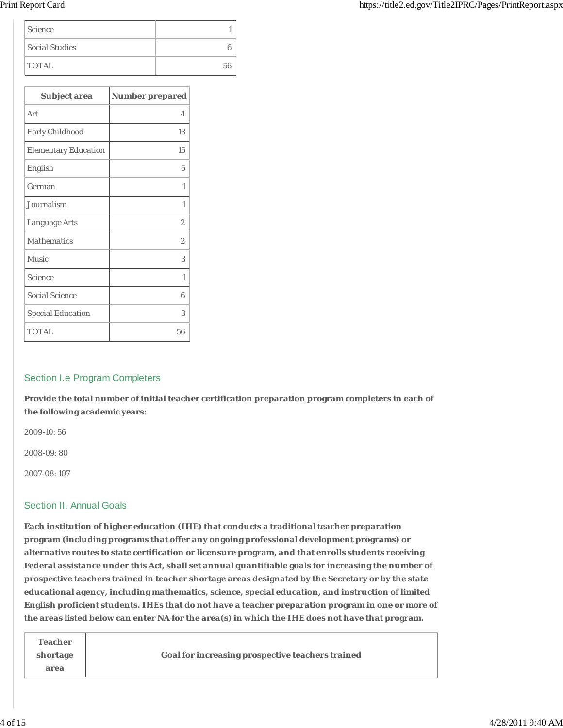| <i>Science</i> |  |
|----------------|--|
| Social Studies |  |
| <b>TOTAL</b>   |  |

| Subject area                | <b>Number prepared</b> |
|-----------------------------|------------------------|
| Art                         | $\overline{4}$         |
| Early Childhood             | 13                     |
| <b>Elementary Education</b> | 15                     |
| English                     | 5                      |
| German                      | 1                      |
| Journalism                  | 1                      |
| Language Arts               | $\overline{2}$         |
| <b>Mathematics</b>          | $\overline{2}$         |
| Music                       | 3                      |
| Science                     | 1                      |
| <b>Social Science</b>       | 6                      |
| <b>Special Education</b>    | 3                      |
| <b>TOTAL</b>                | 56                     |

# Section I.e Program Completers

**Provide the total number of initial teacher certification preparation program completers in each of the following academic years:**

2009-10: 56

2008-09: 80

2007-08: 107

### Section II. Annual Goals

**Each institution of higher education (IHE) that conducts a traditional teacher preparation program (including programs that offer any ongoing professional development programs) or alternative routes to state certification or licensure program, and that enrolls students receiving Federal assistance under this Act, shall set annual quantifiable goals for increasing the number of prospective teachers trained in teacher shortage areas designated by the Secretary or by the state educational agency, including mathematics, science, special education, and instruction of limited English proficient students. IHEs that do not have a teacher preparation program in one or more of the areas listed below can enter NA for the area(s) in which the IHE does not have that program.**

| <b>Teacher</b> |                                                  |
|----------------|--------------------------------------------------|
| shortage       | Goal for increasing prospective teachers trained |
| area           |                                                  |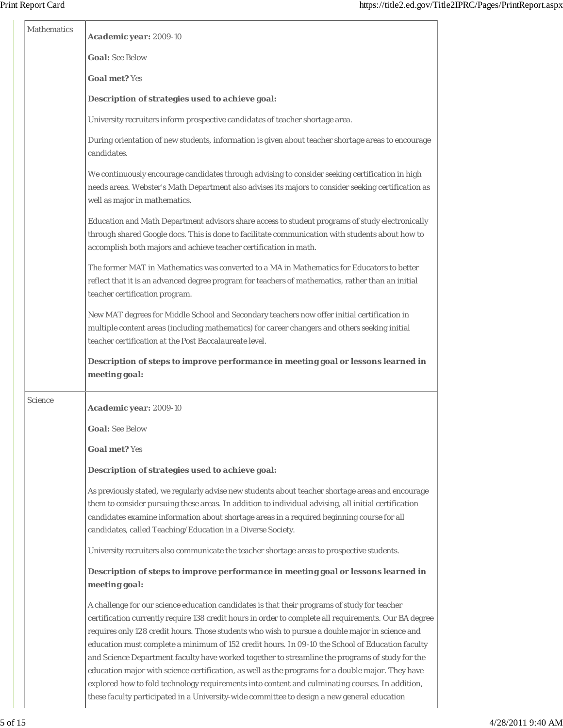| Mathematics | Academic year: 2009-10                                                                                                                                                                                                                                                                                                                                                                                                                                                                                                                                                                                                                                                                                                                                                                                                |
|-------------|-----------------------------------------------------------------------------------------------------------------------------------------------------------------------------------------------------------------------------------------------------------------------------------------------------------------------------------------------------------------------------------------------------------------------------------------------------------------------------------------------------------------------------------------------------------------------------------------------------------------------------------------------------------------------------------------------------------------------------------------------------------------------------------------------------------------------|
|             | <b>Goal: See Below</b>                                                                                                                                                                                                                                                                                                                                                                                                                                                                                                                                                                                                                                                                                                                                                                                                |
|             | <b>Goal met? Yes</b>                                                                                                                                                                                                                                                                                                                                                                                                                                                                                                                                                                                                                                                                                                                                                                                                  |
|             | Description of strategies used to achieve goal:                                                                                                                                                                                                                                                                                                                                                                                                                                                                                                                                                                                                                                                                                                                                                                       |
|             | University recruiters inform prospective candidates of teacher shortage area.                                                                                                                                                                                                                                                                                                                                                                                                                                                                                                                                                                                                                                                                                                                                         |
|             | During orientation of new students, information is given about teacher shortage areas to encourage<br>candidates.                                                                                                                                                                                                                                                                                                                                                                                                                                                                                                                                                                                                                                                                                                     |
|             | We continuously encourage candidates through advising to consider seeking certification in high<br>needs areas. Webster's Math Department also advises its majors to consider seeking certification as<br>well as major in mathematics.                                                                                                                                                                                                                                                                                                                                                                                                                                                                                                                                                                               |
|             | Education and Math Department advisors share access to student programs of study electronically<br>through shared Google docs. This is done to facilitate communication with students about how to<br>accomplish both majors and achieve teacher certification in math.                                                                                                                                                                                                                                                                                                                                                                                                                                                                                                                                               |
|             | The former MAT in Mathematics was converted to a MA in Mathematics for Educators to better<br>reflect that it is an advanced degree program for teachers of mathematics, rather than an initial<br>teacher certification program.                                                                                                                                                                                                                                                                                                                                                                                                                                                                                                                                                                                     |
|             | New MAT degrees for Middle School and Secondary teachers now offer initial certification in<br>multiple content areas (including mathematics) for career changers and others seeking initial<br>teacher certification at the Post Baccalaureate level.                                                                                                                                                                                                                                                                                                                                                                                                                                                                                                                                                                |
|             | Description of steps to improve performance in meeting goal or lessons learned in<br>meeting goal:                                                                                                                                                                                                                                                                                                                                                                                                                                                                                                                                                                                                                                                                                                                    |
| Science     | Academic year: 2009-10                                                                                                                                                                                                                                                                                                                                                                                                                                                                                                                                                                                                                                                                                                                                                                                                |
|             | <b>Goal:</b> See Below                                                                                                                                                                                                                                                                                                                                                                                                                                                                                                                                                                                                                                                                                                                                                                                                |
|             | <b>Goal met? Yes</b>                                                                                                                                                                                                                                                                                                                                                                                                                                                                                                                                                                                                                                                                                                                                                                                                  |
|             | Description of strategies used to achieve goal:                                                                                                                                                                                                                                                                                                                                                                                                                                                                                                                                                                                                                                                                                                                                                                       |
|             | As previously stated, we regularly advise new students about teacher shortage areas and encourage<br>them to consider pursuing these areas. In addition to individual advising, all initial certification<br>candidates examine information about shortage areas in a required beginning course for all<br>candidates, called Teaching/Education in a Diverse Society.                                                                                                                                                                                                                                                                                                                                                                                                                                                |
|             | University recruiters also communicate the teacher shortage areas to prospective students.                                                                                                                                                                                                                                                                                                                                                                                                                                                                                                                                                                                                                                                                                                                            |
|             | Description of steps to improve performance in meeting goal or lessons learned in<br>meeting goal:                                                                                                                                                                                                                                                                                                                                                                                                                                                                                                                                                                                                                                                                                                                    |
|             | A challenge for our science education candidates is that their programs of study for teacher<br>certification currently require 138 credit hours in order to complete all requirements. Our BA degree<br>requires only 128 credit hours. Those students who wish to pursue a double major in science and<br>education must complete a minimum of 152 credit hours. In 09-10 the School of Education faculty<br>and Science Department faculty have worked together to streamline the programs of study for the<br>education major with science certification, as well as the programs for a double major. They have<br>explored how to fold technology requirements into content and culminating courses. In addition,<br>these faculty participated in a University-wide committee to design a new general education |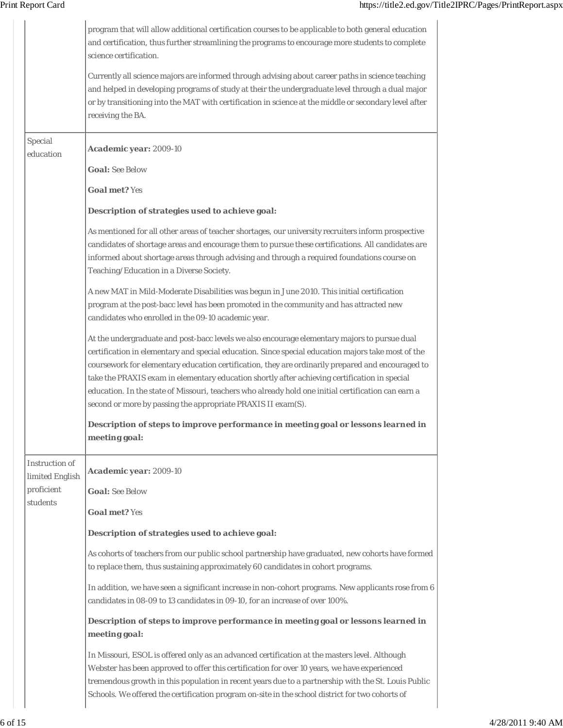|                                                             | program that will allow additional certification courses to be applicable to both general education<br>and certification, thus further streamlining the programs to encourage more students to complete<br>science certification.<br>Currently all science majors are informed through advising about career paths in science teaching<br>and helped in developing programs of study at their the undergraduate level through a dual major<br>or by transitioning into the MAT with certification in science at the middle or secondary level after<br>receiving the BA.        |
|-------------------------------------------------------------|---------------------------------------------------------------------------------------------------------------------------------------------------------------------------------------------------------------------------------------------------------------------------------------------------------------------------------------------------------------------------------------------------------------------------------------------------------------------------------------------------------------------------------------------------------------------------------|
| Special<br>education                                        | Academic year: 2009-10<br><b>Goal: See Below</b>                                                                                                                                                                                                                                                                                                                                                                                                                                                                                                                                |
|                                                             | <b>Goal met? Yes</b>                                                                                                                                                                                                                                                                                                                                                                                                                                                                                                                                                            |
|                                                             | Description of strategies used to achieve goal:                                                                                                                                                                                                                                                                                                                                                                                                                                                                                                                                 |
|                                                             | As mentioned for all other areas of teacher shortages, our university recruiters inform prospective<br>candidates of shortage areas and encourage them to pursue these certifications. All candidates are<br>informed about shortage areas through advising and through a required foundations course on<br>Teaching/Education in a Diverse Society.<br>A new MAT in Mild-Moderate Disabilities was begun in June 2010. This initial certification                                                                                                                              |
|                                                             | program at the post-bacc level has been promoted in the community and has attracted new<br>candidates who enrolled in the 09-10 academic year.                                                                                                                                                                                                                                                                                                                                                                                                                                  |
|                                                             | At the undergraduate and post-bacc levels we also encourage elementary majors to pursue dual<br>certification in elementary and special education. Since special education majors take most of the<br>coursework for elementary education certification, they are ordinarily prepared and encouraged to<br>take the PRAXIS exam in elementary education shortly after achieving certification in special<br>education. In the state of Missouri, teachers who already hold one initial certification can earn a<br>second or more by passing the appropriate PRAXIS II exam(S). |
|                                                             | Description of steps to improve performance in meeting goal or lessons learned in<br>meeting goal:                                                                                                                                                                                                                                                                                                                                                                                                                                                                              |
| Instruction of<br>limited English<br>proficient<br>students | Academic year: 2009-10<br><b>Goal: See Below</b><br><b>Goal met? Yes</b>                                                                                                                                                                                                                                                                                                                                                                                                                                                                                                        |
|                                                             | Description of strategies used to achieve goal:                                                                                                                                                                                                                                                                                                                                                                                                                                                                                                                                 |
|                                                             | As cohorts of teachers from our public school partnership have graduated, new cohorts have formed<br>to replace them, thus sustaining approximately 60 candidates in cohort programs.                                                                                                                                                                                                                                                                                                                                                                                           |
|                                                             | In addition, we have seen a significant increase in non-cohort programs. New applicants rose from 6<br>candidates in 08-09 to 13 candidates in 09-10, for an increase of over 100%.                                                                                                                                                                                                                                                                                                                                                                                             |
|                                                             | Description of steps to improve performance in meeting goal or lessons learned in<br>meeting goal:                                                                                                                                                                                                                                                                                                                                                                                                                                                                              |
|                                                             | In Missouri, ESOL is offered only as an advanced certification at the masters level. Although<br>Webster has been approved to offer this certification for over 10 years, we have experienced<br>tremendous growth in this population in recent years due to a partnership with the St. Louis Public<br>Schools. We offered the certification program on-site in the school district for two cohorts of                                                                                                                                                                         |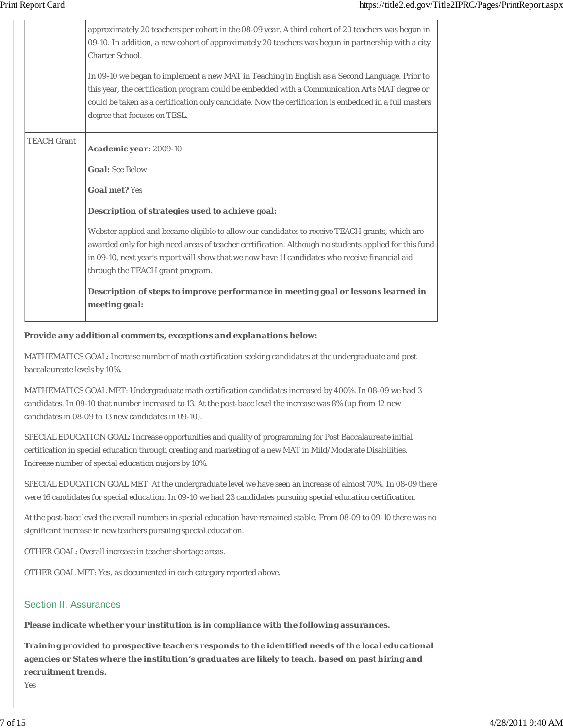|                    | approximately 20 teachers per cohort in the 08-09 year. A third cohort of 20 teachers was begun in<br>09-10. In addition, a new cohort of approximately 20 teachers was begun in partnership with a city<br><b>Charter School.</b><br>In 09-10 we began to implement a new MAT in Teaching in English as a Second Language. Prior to<br>this year, the certification program could be embedded with a Communication Arts MAT degree or<br>could be taken as a certification only candidate. Now the certification is embedded in a full masters<br>degree that focuses on TESL. |
|--------------------|---------------------------------------------------------------------------------------------------------------------------------------------------------------------------------------------------------------------------------------------------------------------------------------------------------------------------------------------------------------------------------------------------------------------------------------------------------------------------------------------------------------------------------------------------------------------------------|
| <b>TEACH Grant</b> | Academic year: 2009-10<br><b>Goal: See Below</b><br><b>Goal met? Yes</b>                                                                                                                                                                                                                                                                                                                                                                                                                                                                                                        |
|                    | Description of strategies used to achieve goal:<br>Webster applied and became eligible to allow our candidates to receive TEACH grants, which are<br>awarded only for high need areas of teacher certification. Although no students applied for this fund<br>in 09-10, next year's report will show that we now have 11 candidates who receive financial aid<br>through the TEACH grant program.<br>Description of steps to improve performance in meeting goal or lessons learned in<br>meeting goal:                                                                         |

#### **Provide any additional comments, exceptions and explanations below:**

MATHEMATICS GOAL: Increase number of math certification seeking candidates at the undergraduate and post baccalaureate levels by 10%.

MATHEMATICS GOAL MET: Undergraduate math certification candidates increased by 400%. In 08-09 we had 3 candidates. In 09-10 that number increased to 13. At the post-bacc level the increase was 8% (up from 12 new candidates in 08-09 to 13 new candidates in 09-10).

SPECIAL EDUCATION GOAL: Increase opportunities and quality of programming for Post Baccalaureate initial certification in special education through creating and marketing of a new MAT in Mild/Moderate Disabilities. Increase number of special education majors by 10%.

SPECIAL EDUCATION GOAL MET: At the undergraduate level we have seen an increase of almost 70%. In 08-09 there were 16 candidates for special education. In 09-10 we had 23 candidates pursuing special education certification.

At the post-bacc level the overall numbers in special education have remained stable. From 08-09 to 09-10 there was no significant increase in new teachers pursuing special education.

OTHER GOAL: Overall increase in teacher shortage areas.

OTHER GOAL MET: Yes, as documented in each category reported above.

#### Section II. Assurances

**Please indicate whether your institution is in compliance with the following assurances.**

**Training provided to prospective teachers responds to the identified needs of the local educational agencies or States where the institution's graduates are likely to teach, based on past hiring and recruitment trends.**

Yes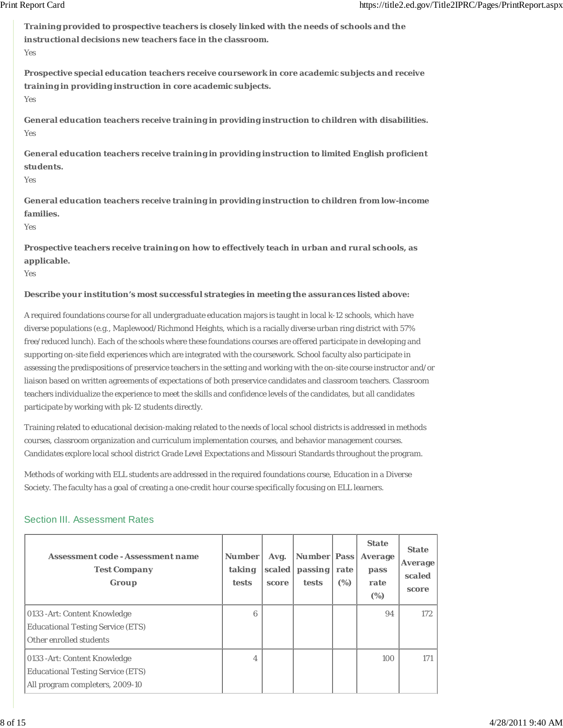**Training provided to prospective teachers is closely linked with the needs of schools and the instructional decisions new teachers face in the classroom.** Yes

**Prospective special education teachers receive coursework in core academic subjects and receive training in providing instruction in core academic subjects.** Yes

**General education teachers receive training in providing instruction to children with disabilities.** Yes

**General education teachers receive training in providing instruction to limited English proficient students.**

Yes

**General education teachers receive training in providing instruction to children from low-income families.**

 $V_{\alpha}$ c

**Prospective teachers receive training on how to effectively teach in urban and rural schools, as applicable.**

Yes

#### **Describe your institution's most successful strategies in meeting the assurances listed above:**

A required foundations course for all undergraduate education majors is taught in local k-12 schools, which have diverse populations (e.g., Maplewood/Richmond Heights, which is a racially diverse urban ring district with 57% free/reduced lunch). Each of the schools where these foundations courses are offered participate in developing and supporting on-site field experiences which are integrated with the coursework. School faculty also participate in assessing the predispositions of preservice teachers in the setting and working with the on-site course instructor and/or liaison based on written agreements of expectations of both preservice candidates and classroom teachers. Classroom teachers individualize the experience to meet the skills and confidence levels of the candidates, but all candidates participate by working with pk-12 students directly.

Training related to educational decision-making related to the needs of local school districts is addressed in methods courses, classroom organization and curriculum implementation courses, and behavior management courses. Candidates explore local school district Grade Level Expectations and Missouri Standards throughout the program.

Methods of working with ELL students are addressed in the required foundations course, Education in a Diverse Society. The faculty has a goal of creating a one-credit hour course specifically focusing on ELL learners.

### Section III. Assessment Rates

| Assessment code - Assessment name<br><b>Test Company</b><br>Group                                            | <b>Number</b><br>taking<br><b>tests</b> | Avg.<br>scaled<br>score | <b>Number Pass</b><br>passing<br>tests | rate<br>(%) | <b>State</b><br>Average<br>pass<br>rate<br>$(\%)$ | <b>State</b><br><b>Average</b><br>scaled<br>score |
|--------------------------------------------------------------------------------------------------------------|-----------------------------------------|-------------------------|----------------------------------------|-------------|---------------------------------------------------|---------------------------------------------------|
| 0133 - Art: Content Knowledge<br><b>Educational Testing Service (ETS)</b><br>Other enrolled students         | 6                                       |                         |                                        |             | 94                                                | 172                                               |
| 0133 - Art: Content Knowledge<br><b>Educational Testing Service (ETS)</b><br>All program completers, 2009-10 | 4                                       |                         |                                        |             | 100                                               | 171                                               |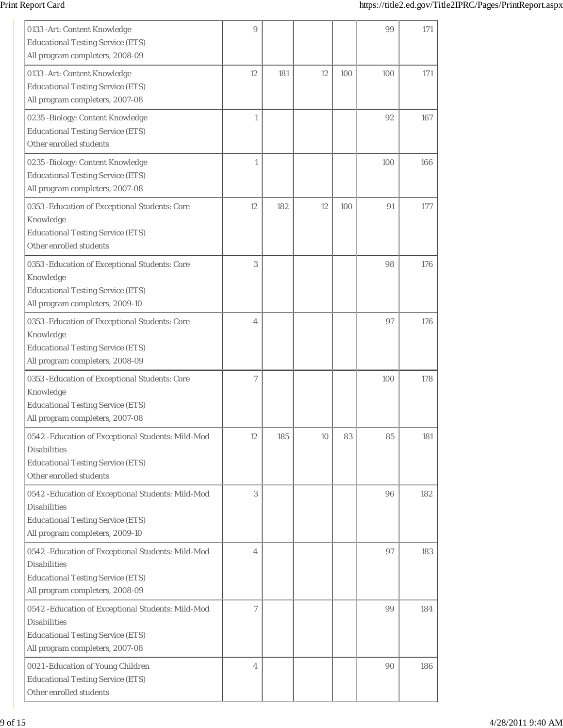| 0133 - Art: Content Knowledge<br><b>Educational Testing Service (ETS)</b><br>All program completers, 2008-09                                             | 9              |     |    |     | 99  | 171 |
|----------------------------------------------------------------------------------------------------------------------------------------------------------|----------------|-----|----|-----|-----|-----|
| 0133 - Art: Content Knowledge<br><b>Educational Testing Service (ETS)</b><br>All program completers, 2007-08                                             | 12             | 181 | 12 | 100 | 100 | 171 |
| 0235 -Biology: Content Knowledge<br><b>Educational Testing Service (ETS)</b><br>Other enrolled students                                                  | $\mathbf{1}$   |     |    |     | 92  | 167 |
| 0235 -Biology: Content Knowledge<br><b>Educational Testing Service (ETS)</b><br>All program completers, 2007-08                                          | 1              |     |    |     | 100 | 166 |
| 0353 - Education of Exceptional Students: Core<br>Knowledge<br><b>Educational Testing Service (ETS)</b><br>Other enrolled students                       | 12             | 182 | 12 | 100 | 91  | 177 |
| 0353 - Education of Exceptional Students: Core<br>Knowledge<br><b>Educational Testing Service (ETS)</b><br>All program completers, 2009-10               | 3              |     |    |     | 98  | 176 |
| 0353 - Education of Exceptional Students: Core<br>Knowledge<br><b>Educational Testing Service (ETS)</b><br>All program completers, 2008-09               | $\overline{4}$ |     |    |     | 97  | 176 |
| 0353 - Education of Exceptional Students: Core<br>Knowledge<br><b>Educational Testing Service (ETS)</b><br>All program completers, 2007-08               | $\tau$         |     |    |     | 100 | 178 |
| 0542 - Education of Exceptional Students: Mild-Mod<br><b>Disabilities</b><br><b>Educational Testing Service (ETS)</b><br>Other enrolled students         | 12             | 185 | 10 | 83  | 85  | 181 |
| 0542 - Education of Exceptional Students: Mild-Mod<br><b>Disabilities</b><br><b>Educational Testing Service (ETS)</b><br>All program completers, 2009-10 | 3              |     |    |     | 96  | 182 |
| 0542 - Education of Exceptional Students: Mild-Mod<br><b>Disabilities</b><br><b>Educational Testing Service (ETS)</b><br>All program completers, 2008-09 | $\overline{4}$ |     |    |     | 97  | 183 |
| 0542 - Education of Exceptional Students: Mild-Mod<br><b>Disabilities</b><br><b>Educational Testing Service (ETS)</b><br>All program completers, 2007-08 | 7              |     |    |     | 99  | 184 |
| 0021 - Education of Young Children<br><b>Educational Testing Service (ETS)</b><br>Other enrolled students                                                | $\overline{4}$ |     |    |     | 90  | 186 |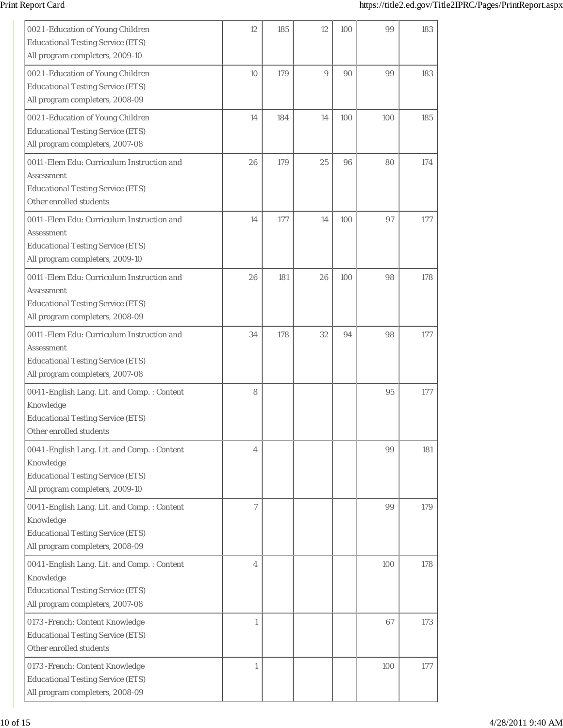| 0021 - Education of Young Children<br><b>Educational Testing Service (ETS)</b><br>All program completers, 2009-10                         | 12           | 185 | 12 | 100 | 99  | 183 |
|-------------------------------------------------------------------------------------------------------------------------------------------|--------------|-----|----|-----|-----|-----|
| 0021 - Education of Young Children<br><b>Educational Testing Service (ETS)</b><br>All program completers, 2008-09                         | 10           | 179 | 9  | 90  | 99  | 183 |
| 0021 - Education of Young Children<br><b>Educational Testing Service (ETS)</b><br>All program completers, 2007-08                         | 14           | 184 | 14 | 100 | 100 | 185 |
| 0011 - Elem Edu: Curriculum Instruction and<br>Assessment<br><b>Educational Testing Service (ETS)</b><br>Other enrolled students          | 26           | 179 | 25 | 96  | 80  | 174 |
| 0011 - Elem Edu: Curriculum Instruction and<br>Assessment<br><b>Educational Testing Service (ETS)</b><br>All program completers, 2009-10  | 14           | 177 | 14 | 100 | 97  | 177 |
| 0011 - Elem Edu: Curriculum Instruction and<br>Assessment<br><b>Educational Testing Service (ETS)</b><br>All program completers, 2008-09  | 26           | 181 | 26 | 100 | 98  | 178 |
| 0011 - Elem Edu: Curriculum Instruction and<br>Assessment<br><b>Educational Testing Service (ETS)</b><br>All program completers, 2007-08  | 34           | 178 | 32 | 94  | 98  | 177 |
| 0041 - English Lang. Lit. and Comp. : Content<br>Knowledge<br><b>Educational Testing Service (ETS)</b><br>Other enrolled students         | 8            |     |    |     | 95  | 177 |
| 0041 - English Lang. Lit. and Comp. : Content<br>Knowledge<br><b>Educational Testing Service (ETS)</b><br>All program completers, 2009-10 | 4            |     |    |     | 99  | 181 |
| 0041 - English Lang. Lit. and Comp. : Content<br>Knowledge<br><b>Educational Testing Service (ETS)</b><br>All program completers, 2008-09 | $\tau$       |     |    |     | 99  | 179 |
| 0041 - English Lang. Lit. and Comp. : Content<br>Knowledge<br><b>Educational Testing Service (ETS)</b><br>All program completers, 2007-08 | 4            |     |    |     | 100 | 178 |
| 0173 - French: Content Knowledge<br><b>Educational Testing Service (ETS)</b><br>Other enrolled students                                   | $\mathbf{1}$ |     |    |     | 67  | 173 |
| 0173 - French: Content Knowledge<br><b>Educational Testing Service (ETS)</b><br>All program completers, 2008-09                           | $\mathbf{1}$ |     |    |     | 100 | 177 |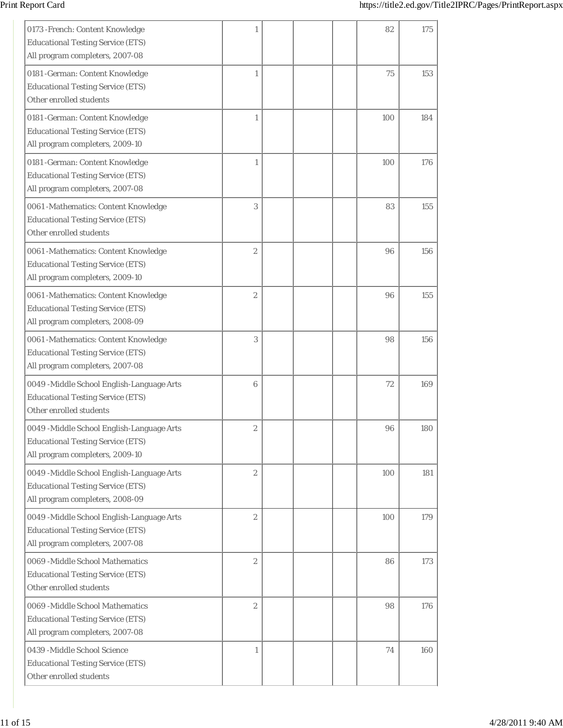| 0173 - French: Content Knowledge<br><b>Educational Testing Service (ETS)</b><br>All program completers, 2007-08          | 1                |  | 82  | 175 |
|--------------------------------------------------------------------------------------------------------------------------|------------------|--|-----|-----|
| 0181 - German: Content Knowledge<br><b>Educational Testing Service (ETS)</b><br>Other enrolled students                  | 1                |  | 75  | 153 |
| 0181 - German: Content Knowledge<br><b>Educational Testing Service (ETS)</b><br>All program completers, 2009-10          | 1                |  | 100 | 184 |
| 0181 - German: Content Knowledge<br><b>Educational Testing Service (ETS)</b><br>All program completers, 2007-08          | 1                |  | 100 | 176 |
| 0061 -Mathematics: Content Knowledge<br><b>Educational Testing Service (ETS)</b><br>Other enrolled students              | 3                |  | 83  | 155 |
| 0061 -Mathematics: Content Knowledge<br><b>Educational Testing Service (ETS)</b><br>All program completers, 2009-10      | $\overline{2}$   |  | 96  | 156 |
| 0061 -Mathematics: Content Knowledge<br><b>Educational Testing Service (ETS)</b><br>All program completers, 2008-09      | $\mathbf{2}$     |  | 96  | 155 |
| 0061 -Mathematics: Content Knowledge<br><b>Educational Testing Service (ETS)</b><br>All program completers, 2007-08      | 3                |  | 98  | 156 |
| 0049 -Middle School English-Language Arts<br><b>Educational Testing Service (ETS)</b><br>Other enrolled students         | 6                |  | 72  | 169 |
| 0049 -Middle School English-Language Arts<br><b>Educational Testing Service (ETS)</b><br>All program completers, 2009-10 | $\boldsymbol{2}$ |  | 96  | 180 |
| 0049 -Middle School English-Language Arts<br><b>Educational Testing Service (ETS)</b><br>All program completers, 2008-09 | $\sqrt{2}$       |  | 100 | 181 |
| 0049 -Middle School English-Language Arts<br><b>Educational Testing Service (ETS)</b><br>All program completers, 2007-08 | $\sqrt{2}$       |  | 100 | 179 |
| 0069 - Middle School Mathematics<br><b>Educational Testing Service (ETS)</b><br>Other enrolled students                  | $\sqrt{2}$       |  | 86  | 173 |
| 0069 -Middle School Mathematics<br><b>Educational Testing Service (ETS)</b><br>All program completers, 2007-08           | $\boldsymbol{2}$ |  | 98  | 176 |
| 0439 - Middle School Science<br><b>Educational Testing Service (ETS)</b><br>Other enrolled students                      | $\mathbf{1}$     |  | 74  | 160 |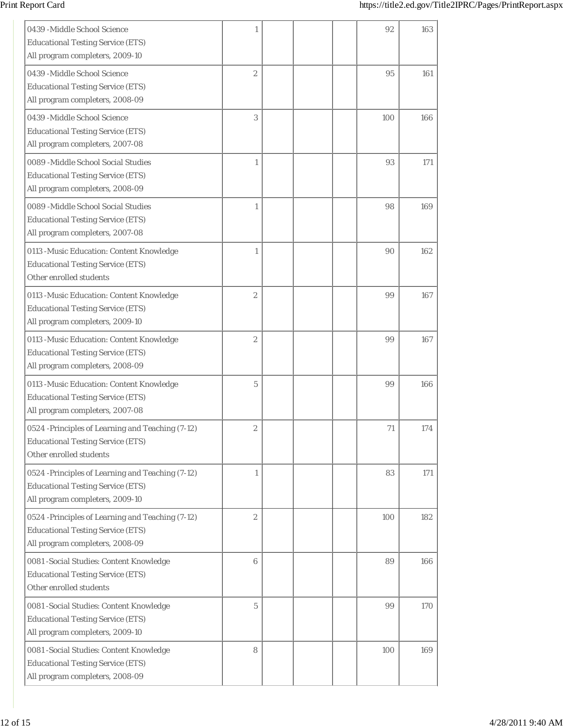| 0439 -Middle School Science<br><b>Educational Testing Service (ETS)</b><br>All program completers, 2009-10                      | 1                |  | 92  | 163 |
|---------------------------------------------------------------------------------------------------------------------------------|------------------|--|-----|-----|
| 0439 -Middle School Science<br><b>Educational Testing Service (ETS)</b><br>All program completers, 2008-09                      | $\overline{2}$   |  | 95  | 161 |
| 0439 -Middle School Science<br><b>Educational Testing Service (ETS)</b><br>All program completers, 2007-08                      | 3                |  | 100 | 166 |
| 0089 -Middle School Social Studies<br><b>Educational Testing Service (ETS)</b><br>All program completers, 2008-09               | 1                |  | 93  | 171 |
| 0089 -Middle School Social Studies<br><b>Educational Testing Service (ETS)</b><br>All program completers, 2007-08               | 1                |  | 98  | 169 |
| 0113 - Music Education: Content Knowledge<br><b>Educational Testing Service (ETS)</b><br>Other enrolled students                | 1                |  | 90  | 162 |
| 0113 - Music Education: Content Knowledge<br><b>Educational Testing Service (ETS)</b><br>All program completers, 2009-10        | $\overline{2}$   |  | 99  | 167 |
| 0113 - Music Education: Content Knowledge<br><b>Educational Testing Service (ETS)</b><br>All program completers, 2008-09        | $\overline{2}$   |  | 99  | 167 |
| 0113 - Music Education: Content Knowledge<br><b>Educational Testing Service (ETS)</b><br>All program completers, 2007-08        | 5                |  | 99  | 166 |
| 0524 -Principles of Learning and Teaching (7-12)<br><b>Educational Testing Service (ETS)</b><br>Other enrolled students         | $\boldsymbol{2}$ |  | 71  | 174 |
| 0524 -Principles of Learning and Teaching (7-12)<br><b>Educational Testing Service (ETS)</b><br>All program completers, 2009-10 | $\mathbf{1}$     |  | 83  | 171 |
| 0524 -Principles of Learning and Teaching (7-12)<br><b>Educational Testing Service (ETS)</b><br>All program completers, 2008-09 | $\boldsymbol{2}$ |  | 100 | 182 |
| 0081 - Social Studies: Content Knowledge<br><b>Educational Testing Service (ETS)</b><br>Other enrolled students                 | $\,6\,$          |  | 89  | 166 |
| 0081 - Social Studies: Content Knowledge<br><b>Educational Testing Service (ETS)</b><br>All program completers, 2009-10         | $\overline{5}$   |  | 99  | 170 |
| 0081 - Social Studies: Content Knowledge<br><b>Educational Testing Service (ETS)</b><br>All program completers, 2008-09         | 8                |  | 100 | 169 |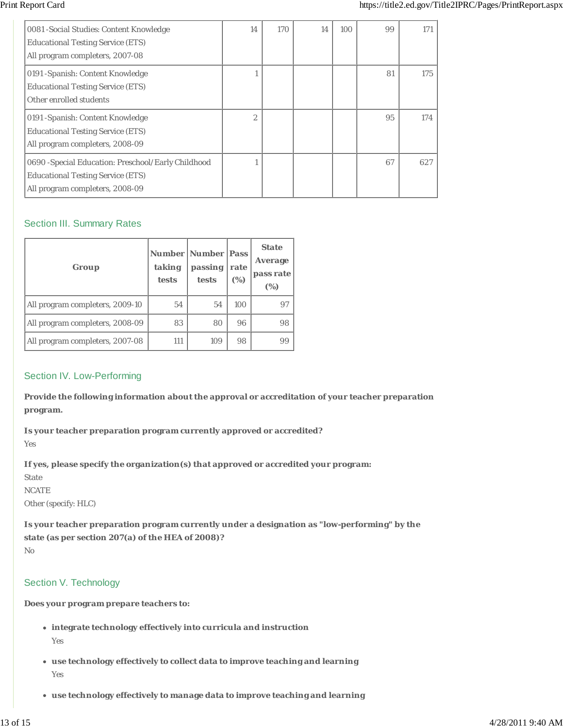| 0081 - Social Studies: Content Knowledge<br><b>Educational Testing Service (ETS)</b><br>All program completers, 2007-08            | 14             | 170 | 14 | 100 | 99 | 171 |
|------------------------------------------------------------------------------------------------------------------------------------|----------------|-----|----|-----|----|-----|
| 0191 - Spanish: Content Knowledge<br><b>Educational Testing Service (ETS)</b><br>Other enrolled students                           |                |     |    |     | 81 | 175 |
| 0191 - Spanish: Content Knowledge<br><b>Educational Testing Service (ETS)</b><br>All program completers, 2008-09                   | $\overline{2}$ |     |    |     | 95 | 174 |
| 0690 - Special Education: Preschool/Early Childhood<br><b>Educational Testing Service (ETS)</b><br>All program completers, 2008-09 |                |     |    |     | 67 | 627 |

# Section III. Summary Rates

| Group                           | taking<br>tests | <b>Number   Number   Pass</b><br>passing<br>tests | rate<br>(%) | <b>State</b><br>Average<br>pass rate<br>(%) |
|---------------------------------|-----------------|---------------------------------------------------|-------------|---------------------------------------------|
| All program completers, 2009-10 | 54              | 54                                                | 100         | 97                                          |
| All program completers, 2008-09 | 83              | 80                                                | 96          | 98                                          |
| All program completers, 2007-08 | 111             | 109                                               | 98          | 99                                          |

# Section IV. Low-Performing

**Provide the following information about the approval or accreditation of your teacher preparation program.**

**Is your teacher preparation program currently approved or accredited?** Yes

**If yes, please specify the organization(s) that approved or accredited your program:**

State

**NCATE** 

Other (specify: HLC)

**Is your teacher preparation program currently under a designation as "low-performing" by the state (as per section 207(a) of the HEA of 2008)?**

No

# Section V. Technology

**Does your program prepare teachers to:**

- **integrate technology effectively into curricula and instruction** Yes
- **use technology effectively to collect data to improve teaching and learning** Yes
- **use technology effectively to manage data to improve teaching and learning**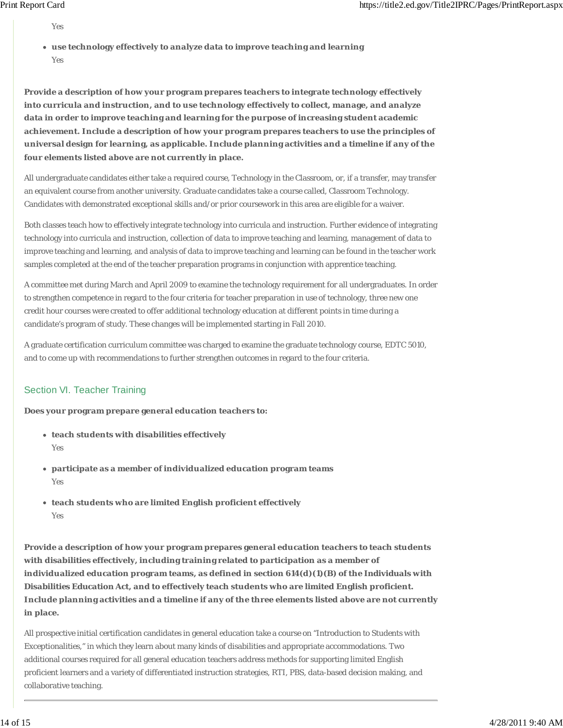Yes

**use technology effectively to analyze data to improve teaching and learning** Yes

**Provide a description of how your program prepares teachers to integrate technology effectively into curricula and instruction, and to use technology effectively to collect, manage, and analyze data in order to improve teaching and learning for the purpose of increasing student academic achievement. Include a description of how your program prepares teachers to use the principles of universal design for learning, as applicable. Include planning activities and a timeline if any of the four elements listed above are not currently in place.**

All undergraduate candidates either take a required course, Technology in the Classroom, or, if a transfer, may transfer an equivalent course from another university. Graduate candidates take a course called, Classroom Technology. Candidates with demonstrated exceptional skills and/or prior coursework in this area are eligible for a waiver.

Both classes teach how to effectively integrate technology into curricula and instruction. Further evidence of integrating technology into curricula and instruction, collection of data to improve teaching and learning, management of data to improve teaching and learning, and analysis of data to improve teaching and learning can be found in the teacher work samples completed at the end of the teacher preparation programs in conjunction with apprentice teaching.

A committee met during March and April 2009 to examine the technology requirement for all undergraduates. In order to strengthen competence in regard to the four criteria for teacher preparation in use of technology, three new one credit hour courses were created to offer additional technology education at different points in time during a candidate's program of study. These changes will be implemented starting in Fall 2010.

A graduate certification curriculum committee was charged to examine the graduate technology course, EDTC 5010, and to come up with recommendations to further strengthen outcomes in regard to the four criteria.

# Section VI. Teacher Training

**Does your program prepare general education teachers to:**

- **teach students with disabilities effectively** Yes
- **participate as a member of individualized education program teams** Yes
- **teach students who are limited English proficient effectively** Yes

**Provide a description of how your program prepares general education teachers to teach students with disabilities effectively, including training related to participation as a member of individualized education program teams, as defined in section 614(d)(1)(B) of the** *Individuals with Disabilities Education Act***, and to effectively teach students who are limited English proficient. Include planning activities and a timeline if any of the three elements listed above are not currently in place.**

All prospective initial certification candidates in general education take a course on "Introduction to Students with Exceptionalities," in which they learn about many kinds of disabilities and appropriate accommodations. Two additional courses required for all general education teachers address methods for supporting limited English proficient learners and a variety of differentiated instruction strategies, RTI, PBS, data-based decision making, and collaborative teaching.